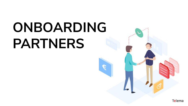# **ONBOARDING PARTNERS**



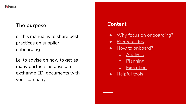#### **The purpose**

of this manual is to share best practices on supplier onboarding

i.e. to advise on how to get as many partners as possible exchange EDI documents with your company.

#### **Content**

- [Why focus on onboarding?](#page-2-0)
- [Prerequisites](#page-3-0)
- [How to onboard?](#page-4-0)
	- [Analysis](#page-5-0)
	- [Planning](#page-8-0)
	- [Execution](#page-11-0)
- [Helpful tools](#page-15-0)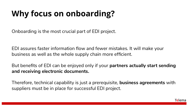### <span id="page-2-0"></span>**Why focus on onboarding?**

Onboarding is the most crucial part of EDI project.

EDI assures faster information flow and fewer mistakes. It will make your business as well as the whole supply chain more efficient.

But benefits of EDI can be enjoyed only if your **partners actually start sending and receiving electronic documents.** 

Therefore, technical capability is just a prerequisite, **business agreements** with suppliers must be in place for successful EDI project.

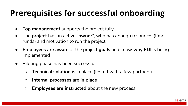### <span id="page-3-0"></span>**Prerequisites for successful onboarding**

- **Top management** supports the project fully
- The **project** has an active "**owner**", who has enough resources (time, funds) and motivation to run the project
- **Employees are aware** of the project **goals** and know **why EDI** is being implemented
- Piloting phase has been successful:
	- **Technical solution** is in place (tested with a few partners)
	- **Internal processes** are **in place**
	- **Employees are instructed** about the new process

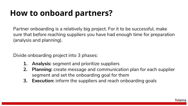### <span id="page-4-0"></span>**How to onboard partners?**

Partner onboarding is a relatively big project. For it to be successful, make sure that before reaching suppliers you have had enough time for preparation (analysis and planning).

Divide onboarding project into 3 phases:

- **1. Analysis:** segment and prioritize suppliers
- **2. Planning:** create message and communication plan for each supplier segment and set the onboarding goal for them
- **3. Execution:** inform the suppliers and reach onboarding goals

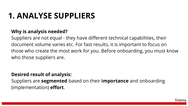### <span id="page-5-0"></span>**1. ANALYSE SUPPLIERS**

#### **Why is analysis needed?**

Suppliers are not equal - they have different technical capabilities, their document volume varies etc. For fast results, it is important to focus on those who create the most work for you. Before onboarding, you must know who those suppliers are.

#### **Desired result of analysis:**

Suppliers are **segmented** based on their **importance** and onboarding (implementation) **effort**.

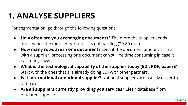### **1. ANALYSE SUPPLIERS**

For segmentation, go through the following questions:

- **How often are you exchanging documents?** The more the supplier sends documents, the more important is its onboarding (20-80 rule)
- **How many rows are in one document?** Even if the document amount is small with a supplier, processing one document can still be time consuming in case it has many rows
- **What is the technological capability of the supplier today (EDI, PDF, paper)?** Start with the ones that are already doing EDI with other partners.
- **Is it international or national supplier?** National suppliers are usually easier to onboard.
- Are all suppliers currently providing you services? Clean database from outdated suppliers.

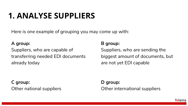### **1. ANALYSE SUPPLIERS**

Here is one example of grouping you may come up with:

#### **A group:**

Suppliers, who are capable of transferring needed EDI documents already today

**C group:** Other national suppliers

#### **B group:**

Suppliers, who are sending the biggest amount of documents, but are not yet EDI capable

**D group:** Other international suppliers

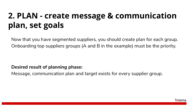### <span id="page-8-0"></span>**2. PLAN - create message & communication plan, set goals**

Now that you have segmented suppliers, you should create plan for each group. Onboarding top suppliers groups (A and B in the example) must be the priority.

**Desired result of planning phase:** 

Message, communication plan and target exists for every supplier group.

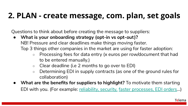### **2. PLAN - create message, com. plan, set goals**

Questions to think about before creating the message to suppliers:

- **What is your onboarding strategy (opt-in vs opt-out)?**  NB! Pressure and clear deadlines make things moving faster. Top 3 things other companies in the market are using for faster adoption:
	- Processing fees for data entry (x euros per row/document that had to be entered manually.)
	- Clear deadline (i.e 2 months to go over to EDI)
	- Determining EDI in supply contracts (as one of the ground rules for collaboration)
- **What are the benefits for suppliers to highlight?** To motivate them starting EDI with you. (For example: [reliability, security,](https://telema.eu/en/why-should-you-not-send-e-invoices-over-e-mail/) [faster processes, EDI orders](https://telema.eu/en/edi-supplier/)…)

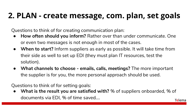### **2. PLAN - create message, com. plan, set goals**

Questions to think of for creating communication plan:

- **How often should you inform?** Rather over than under communicate. One or even two messages is not enough in most of the cases.
- **When to start?** Inform suppliers as early as possible. It will take time from their side as well to set up EDI (they must plan IT resources, test the solution).
- **● What channels to choose emails, calls, meetings?** The more important the supplier is for you, the more personal approach should be used.

Questions to think of for setting goals:

**What is the result you are satisfied with?** % of suppliers onboarded, % of documents via EDI, % of time saved….Telema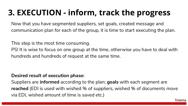### <span id="page-11-0"></span>**3. EXECUTION - inform, track the progress**

Now that you have segmented suppliers, set goals, created message and communication plan for each of the group, it is time to start executing the plan.

This step is the most time consuming.

PS! It is wise to focus on one group at the time, otherwise you have to deal with hundreds and hundreds of request at the same time.

#### **Desired result of execution phase:**

Suppliers are **informed** according to the plan; **goals** with each segment are **reached** (EDI is used with wished % of suppliers, wished % of documents move via EDI, wished amount of time is saved etc.)

Telema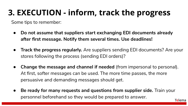### **3. EXECUTION - inform, track the progress**

Some tips to remember:

- **Do not assume that suppliers start exchanging EDI documents already after first message. Notify them several times. Use deadlines!**
- **Track the progress regularly.** Are suppliers sending EDI documents? Are your stores following the process (sending EDI orders)?
- **Change the message and channel if needed** (from impersonal to personal). At first, softer messages can be used. The more time passes, the more persuasive and demanding messages should get.
- **Be ready for many requests and questions from supplier side.** Train your personnel beforehand so they would be prepared to answer. **Telema**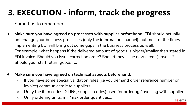### **3. EXECUTION - inform, track the progress**

Some tips to remember:

- Make sure you have agreed on processes with supplier beforehand. **EDI should actually** not change your business processes (only the information channel), but most of the times implementing EDI will bring out some gaps in the business process as well. For example: what happens if the delivered amount of goods is bigger/smaller than stated in EDI invoice. Should you issue correction order? Should they issue new (credit) invoice? Should your staff return goods? ...
- Make sure you have agreed on technical aspects beforehand.
	- If you have some special validation rules (i.e you demand order reference number on invoice) communicate it to suppliers.
	- Unify the item codes (GTINs, supplier codes) used for ordering /invoicing with supplier.

Telema

○ Unify ordering units, min/max order quantities...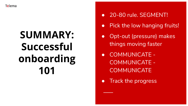

## **SUMMARY: Successful onboarding 101**

- 20-80 rule. SEGMENT!
- Pick the low hanging fruits!
- Opt-out (pressure) makes things moving faster
- COMMUNICATE COMMUNICATE - **COMMUNICATE**
- Track the progress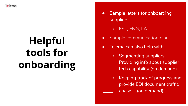# <span id="page-15-0"></span>**Helpful tools for onboarding**

- Sample letters for onboarding suppliers
	- **[EST, ENG, LAT](https://docs.google.com/document/d/1lPFRbdPxPY71DvpAUUgV_5OhV3PSusqwhgG17zH8DTs/edit#heading=h.r6p07o7mefqc)**
- **[Sample communication plan](https://docs.google.com/spreadsheets/d/1LrhSRcuEeU1mPBvS8bKARtcEHn5eA1h6BVrfrtNOV8E/edit#gid=1120133201)**
- Telema can also help with:
	- Segmenting suppliers. Providing info about supplier tech capability (on demand)
	- Keeping track of progress and provide EDI document traffic analysis (on demand)